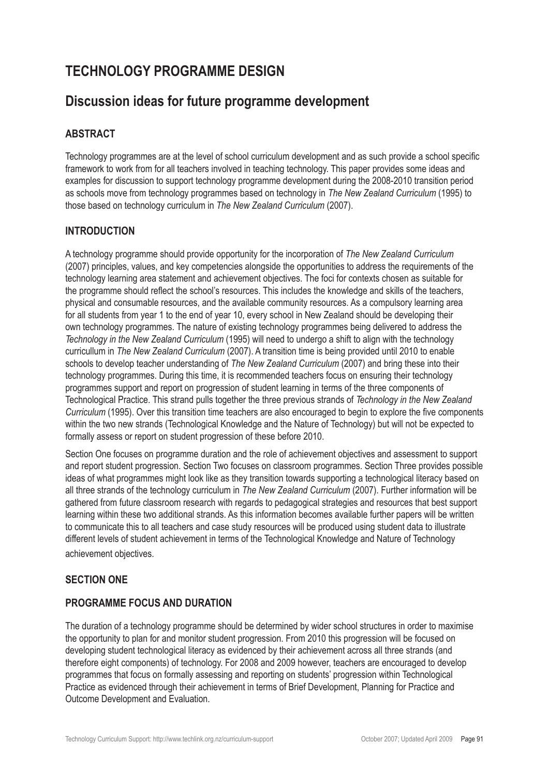# **Technology Programme Design**

## **Discussion ideas for future programme development**

#### **Abstract**

Technology programmes are at the level of school curriculum development and as such provide a school specific framework to work from for all teachers involved in teaching technology. This paper provides some ideas and examples for discussion to support technology programme development during the 2008-2010 transition period as schools move from technology programmes based on technology in *The New Zealand Curriculum* (1995) to those based on technology curriculum in *The New Zealand Curriculum* (2007).

#### **Introduction**

A technology programme should provide opportunity for the incorporation of *The New Zealand Curriculum* (2007) principles, values, and key competencies alongside the opportunities to address the requirements of the technology learning area statement and achievement objectives. The foci for contexts chosen as suitable for the programme should reflect the school's resources. This includes the knowledge and skills of the teachers, physical and consumable resources, and the available community resources. As a compulsory learning area for all students from year 1 to the end of year 10, every school in New Zealand should be developing their own technology programmes. The nature of existing technology programmes being delivered to address the *Technology in the New Zealand Curriculum* (1995) will need to undergo a shift to align with the technology curricullum in *The New Zealand Curriculum* (2007). A transition time is being provided until 2010 to enable schools to develop teacher understanding of *The New Zealand Curriculum* (2007) and bring these into their technology programmes. During this time, it is recommended teachers focus on ensuring their technology programmes support and report on progression of student learning in terms of the three components of Technological Practice. This strand pulls together the three previous strands of *Technology in the New Zealand Curriculum* (1995). Over this transition time teachers are also encouraged to begin to explore the five components within the two new strands (Technological Knowledge and the Nature of Technology) but will not be expected to formally assess or report on student progression of these before 2010.

Section One focuses on programme duration and the role of achievement objectives and assessment to support and report student progression. Section Two focuses on classroom programmes. Section Three provides possible ideas of what programmes might look like as they transition towards supporting a technological literacy based on all three strands of the technology curriculum in *The New Zealand Curriculum* (2007). Further information will be gathered from future classroom research with regards to pedagogical strategies and resources that best support learning within these two additional strands. As this information becomes available further papers will be written to communicate this to all teachers and case study resources will be produced using student data to illustrate different levels of student achievement in terms of the Technological Knowledge and Nature of Technology achievement objectives.

#### **Section One**

#### **Programme Focus and Duration**

The duration of a technology programme should be determined by wider school structures in order to maximise the opportunity to plan for and monitor student progression. From 2010 this progression will be focused on developing student technological literacy as evidenced by their achievement across all three strands (and therefore eight components) of technology. For 2008 and 2009 however, teachers are encouraged to develop programmes that focus on formally assessing and reporting on students' progression within Technological Practice as evidenced through their achievement in terms of Brief Development, Planning for Practice and Outcome Development and Evaluation.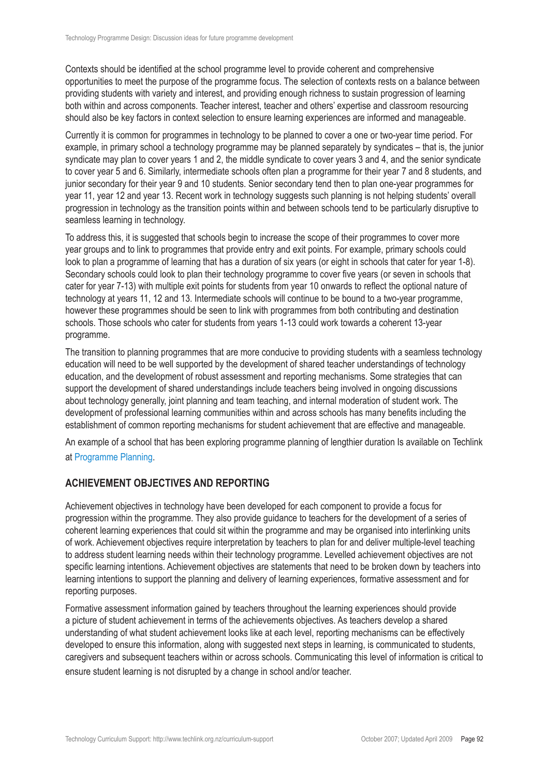Contexts should be identified at the school programme level to provide coherent and comprehensive opportunities to meet the purpose of the programme focus. The selection of contexts rests on a balance between providing students with variety and interest, and providing enough richness to sustain progression of learning both within and across components. Teacher interest, teacher and others' expertise and classroom resourcing should also be key factors in context selection to ensure learning experiences are informed and manageable.

Currently it is common for programmes in technology to be planned to cover a one or two-year time period. For example, in primary school a technology programme may be planned separately by syndicates – that is, the junior syndicate may plan to cover years 1 and 2, the middle syndicate to cover years 3 and 4, and the senior syndicate to cover year 5 and 6. Similarly, intermediate schools often plan a programme for their year 7 and 8 students, and junior secondary for their year 9 and 10 students. Senior secondary tend then to plan one-year programmes for year 11, year 12 and year 13. Recent work in technology suggests such planning is not helping students' overall progression in technology as the transition points within and between schools tend to be particularly disruptive to seamless learning in technology.

To address this, it is suggested that schools begin to increase the scope of their programmes to cover more year groups and to link to programmes that provide entry and exit points. For example, primary schools could look to plan a programme of learning that has a duration of six years (or eight in schools that cater for year 1-8). Secondary schools could look to plan their technology programme to cover five years (or seven in schools that cater for year 7-13) with multiple exit points for students from year 10 onwards to reflect the optional nature of technology at years 11, 12 and 13. Intermediate schools will continue to be bound to a two-year programme, however these programmes should be seen to link with programmes from both contributing and destination schools. Those schools who cater for students from years 1-13 could work towards a coherent 13-year programme.

The transition to planning programmes that are more conducive to providing students with a seamless technology education will need to be well supported by the development of shared teacher understandings of technology education, and the development of robust assessment and reporting mechanisms. Some strategies that can support the development of shared understandings include teachers being involved in ongoing discussions about technology generally, joint planning and team teaching, and internal moderation of student work. The development of professional learning communities within and across schools has many benefits including the establishment of common reporting mechanisms for student achievement that are effective and manageable.

An example of a school that has been exploring programme planning of lengthier duration Is available on Techlink at [Programme Planning.](http://www.techlink.org.nz/GIF-tech-education/beacon-practice/Teaching-Practice/BP608-programme-planning/index.htm)

#### **Achievement Objectives and Reporting**

Achievement objectives in technology have been developed for each component to provide a focus for progression within the programme. They also provide guidance to teachers for the development of a series of coherent learning experiences that could sit within the programme and may be organised into interlinking units of work. Achievement objectives require interpretation by teachers to plan for and deliver multiple-level teaching to address student learning needs within their technology programme. Levelled achievement objectives are not specific learning intentions. Achievement objectives are statements that need to be broken down by teachers into learning intentions to support the planning and delivery of learning experiences, formative assessment and for reporting purposes.

Formative assessment information gained by teachers throughout the learning experiences should provide a picture of student achievement in terms of the achievements objectives. As teachers develop a shared understanding of what student achievement looks like at each level, reporting mechanisms can be effectively developed to ensure this information, along with suggested next steps in learning, is communicated to students, caregivers and subsequent teachers within or across schools. Communicating this level of information is critical to ensure student learning is not disrupted by a change in school and/or teacher.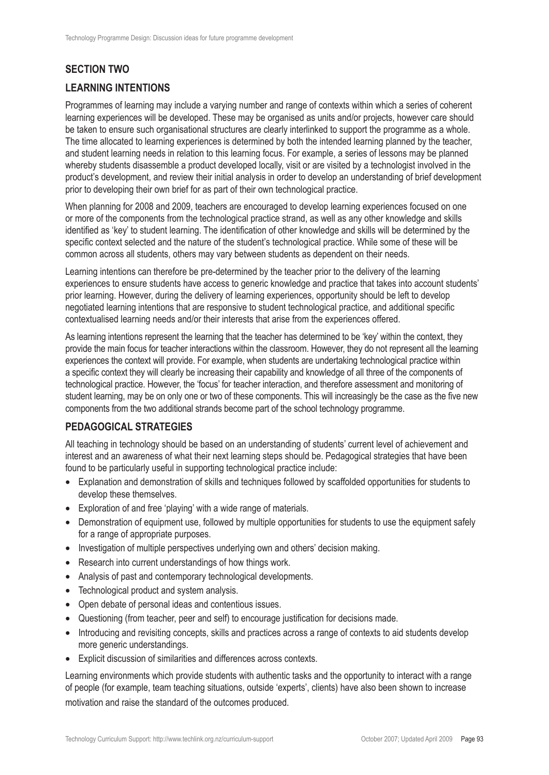### **Section Two**

#### **Learning Intentions**

Programmes of learning may include a varying number and range of contexts within which a series of coherent learning experiences will be developed. These may be organised as units and/or projects, however care should be taken to ensure such organisational structures are clearly interlinked to support the programme as a whole. The time allocated to learning experiences is determined by both the intended learning planned by the teacher, and student learning needs in relation to this learning focus. For example, a series of lessons may be planned whereby students disassemble a product developed locally, visit or are visited by a technologist involved in the product's development, and review their initial analysis in order to develop an understanding of brief development prior to developing their own brief for as part of their own technological practice.

When planning for 2008 and 2009, teachers are encouraged to develop learning experiences focused on one or more of the components from the technological practice strand, as well as any other knowledge and skills identified as 'key' to student learning. The identification of other knowledge and skills will be determined by the specific context selected and the nature of the student's technological practice. While some of these will be common across all students, others may vary between students as dependent on their needs.

Learning intentions can therefore be pre-determined by the teacher prior to the delivery of the learning experiences to ensure students have access to generic knowledge and practice that takes into account students' prior learning. However, during the delivery of learning experiences, opportunity should be left to develop negotiated learning intentions that are responsive to student technological practice, and additional specific contextualised learning needs and/or their interests that arise from the experiences offered.

As learning intentions represent the learning that the teacher has determined to be 'key' within the context, they provide the main focus for teacher interactions within the classroom. However, they do not represent all the learning experiences the context will provide. For example, when students are undertaking technological practice within a specific context they will clearly be increasing their capability and knowledge of all three of the components of technological practice. However, the 'focus' for teacher interaction, and therefore assessment and monitoring of student learning, may be on only one or two of these components. This will increasingly be the case as the five new components from the two additional strands become part of the school technology programme.

#### **Pedagogical Strategies**

All teaching in technology should be based on an understanding of students' current level of achievement and interest and an awareness of what their next learning steps should be. Pedagogical strategies that have been found to be particularly useful in supporting technological practice include:

- • Explanation and demonstration of skills and techniques followed by scaffolded opportunities for students to develop these themselves.
- Exploration of and free 'playing' with a wide range of materials.
- Demonstration of equipment use, followed by multiple opportunities for students to use the equipment safely for a range of appropriate purposes.
- Investigation of multiple perspectives underlying own and others' decision making.
- Research into current understandings of how things work.
- Analysis of past and contemporary technological developments.
- Technological product and system analysis.
- Open debate of personal ideas and contentious issues.
- Questioning (from teacher, peer and self) to encourage justification for decisions made.
- Introducing and revisiting concepts, skills and practices across a range of contexts to aid students develop more generic understandings.
- Explicit discussion of similarities and differences across contexts.

Learning environments which provide students with authentic tasks and the opportunity to interact with a range of people (for example, team teaching situations, outside 'experts', clients) have also been shown to increase motivation and raise the standard of the outcomes produced.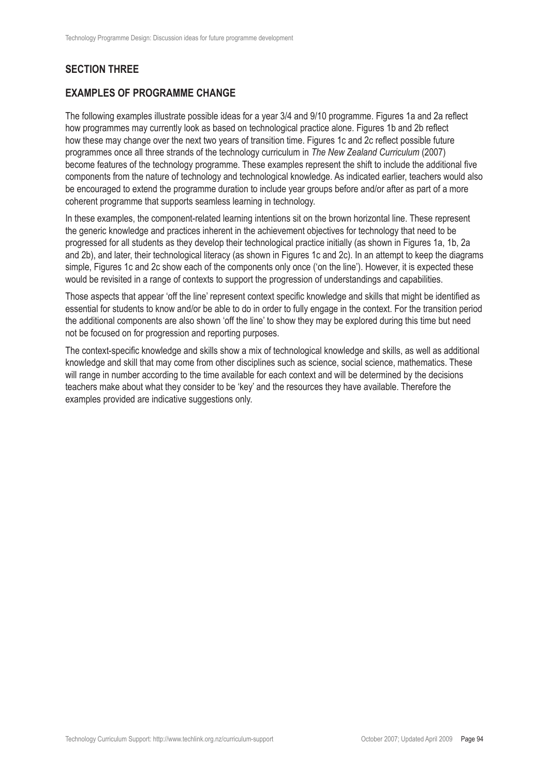#### **Section Three**

#### **Examples of programme change**

The following examples illustrate possible ideas for a year 3/4 and 9/10 programme. Figures 1a and 2a reflect how programmes may currently look as based on technological practice alone. Figures 1b and 2b reflect how these may change over the next two years of transition time. Figures 1c and 2c reflect possible future programmes once all three strands of the technology curriculum in *The New Zealand Curriculum* (2007) become features of the technology programme. These examples represent the shift to include the additional five components from the nature of technology and technological knowledge. As indicated earlier, teachers would also be encouraged to extend the programme duration to include year groups before and/or after as part of a more coherent programme that supports seamless learning in technology.

In these examples, the component-related learning intentions sit on the brown horizontal line. These represent the generic knowledge and practices inherent in the achievement objectives for technology that need to be progressed for all students as they develop their technological practice initially (as shown in Figures 1a, 1b, 2a and 2b), and later, their technological literacy (as shown in Figures 1c and 2c). In an attempt to keep the diagrams simple, Figures 1c and 2c show each of the components only once ('on the line'). However, it is expected these would be revisited in a range of contexts to support the progression of understandings and capabilities.

Those aspects that appear 'off the line' represent context specific knowledge and skills that might be identified as essential for students to know and/or be able to do in order to fully engage in the context. For the transition period the additional components are also shown 'off the line' to show they may be explored during this time but need not be focused on for progression and reporting purposes.

The context-specific knowledge and skills show a mix of technological knowledge and skills, as well as additional knowledge and skill that may come from other disciplines such as science, social science, mathematics. These will range in number according to the time available for each context and will be determined by the decisions teachers make about what they consider to be 'key' and the resources they have available. Therefore the examples provided are indicative suggestions only.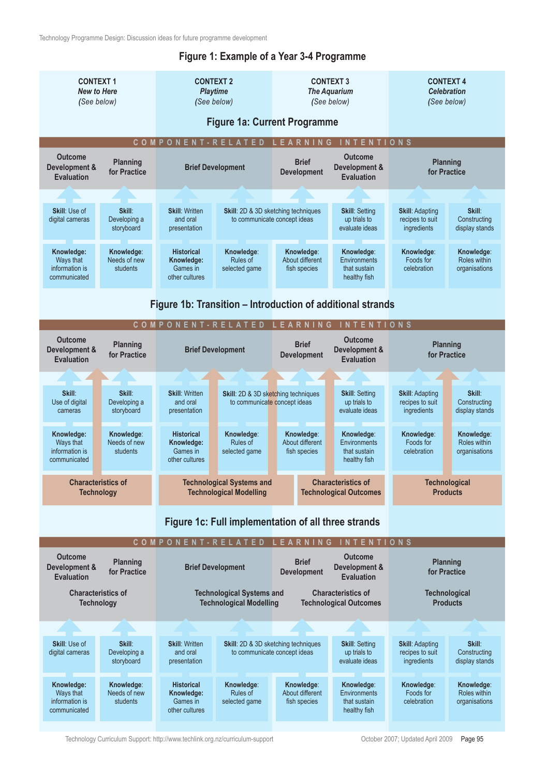Technology Programme Design: Discussion ideas for future programme development



Technology Curriculum Support: [http://www.techlink.org.nz/curriculum-support](http://www.techlink.org.nz/GIF-tech-education/beacon-practice/Teaching-Practice/BP608-programme-planning/index.htm) Curriculum Cotober 2007; Updated April 2009 Page 95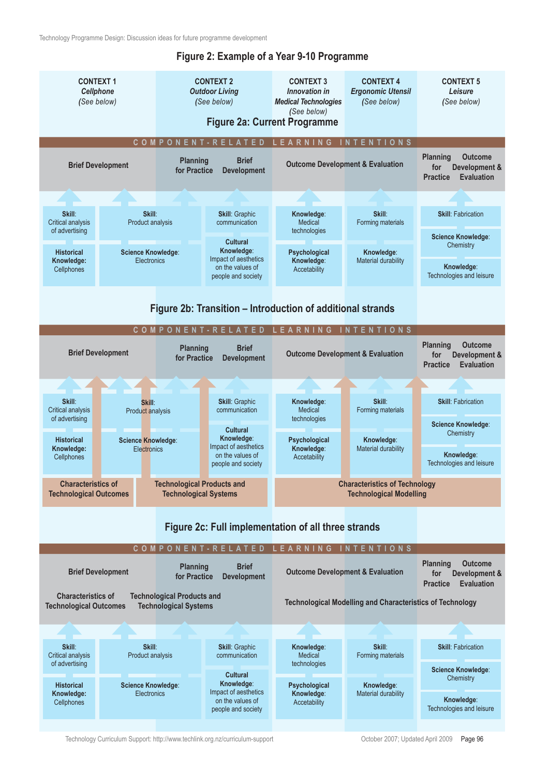Technology Programme Design: Discussion ideas for future programme development

#### **Figure 2: Example of a Year 9-10 Programme**



Technology Curriculum Support: [http://www.techlink.org.nz/curriculum-support](http://www.techlink.org.nz/GIF-tech-education/beacon-practice/Teaching-Practice/BP608-programme-planning/index.htm) October 2007; Updated April 2009 Page 96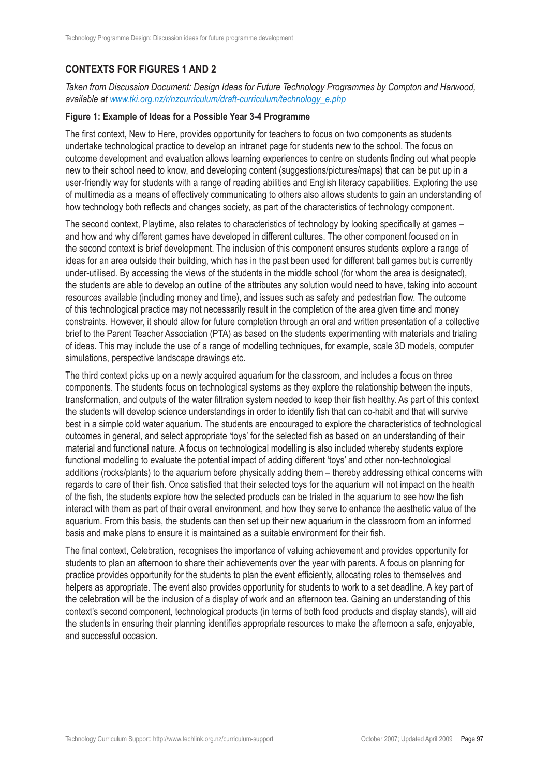#### **Contexts for Figures 1 and 2**

*Taken from Discussion Document: Design Ideas for Future Technology Programmes by Compton and Harwood, available at [www.tki.org.nz/r/nzcurriculum/draft-curriculum/technology\\_e.php](http://www.tki.org.nz/r/nzcurriculum/draft-curriculum/technology_e.php)*

#### **Figure 1: Example of Ideas for a Possible Year 3-4 Programme**

The first context, New to Here, provides opportunity for teachers to focus on two components as students undertake technological practice to develop an intranet page for students new to the school. The focus on outcome development and evaluation allows learning experiences to centre on students finding out what people new to their school need to know, and developing content (suggestions/pictures/maps) that can be put up in a user-friendly way for students with a range of reading abilities and English literacy capabilities. Exploring the use of multimedia as a means of effectively communicating to others also allows students to gain an understanding of how technology both reflects and changes society, as part of the characteristics of technology component.

The second context, Playtime, also relates to characteristics of technology by looking specifically at games – and how and why different games have developed in different cultures. The other component focused on in the second context is brief development. The inclusion of this component ensures students explore a range of ideas for an area outside their building, which has in the past been used for different ball games but is currently under-utilised. By accessing the views of the students in the middle school (for whom the area is designated), the students are able to develop an outline of the attributes any solution would need to have, taking into account resources available (including money and time), and issues such as safety and pedestrian flow. The outcome of this technological practice may not necessarily result in the completion of the area given time and money constraints. However, it should allow for future completion through an oral and written presentation of a collective brief to the Parent Teacher Association (PTA) as based on the students experimenting with materials and trialing of ideas. This may include the use of a range of modelling techniques, for example, scale 3D models, computer simulations, perspective landscape drawings etc.

The third context picks up on a newly acquired aquarium for the classroom, and includes a focus on three components. The students focus on technological systems as they explore the relationship between the inputs, transformation, and outputs of the water filtration system needed to keep their fish healthy. As part of this context the students will develop science understandings in order to identify fish that can co-habit and that will survive best in a simple cold water aquarium. The students are encouraged to explore the characteristics of technological outcomes in general, and select appropriate 'toys' for the selected fish as based on an understanding of their material and functional nature. A focus on technological modelling is also included whereby students explore functional modelling to evaluate the potential impact of adding different 'toys' and other non-technological additions (rocks/plants) to the aquarium before physically adding them – thereby addressing ethical concerns with regards to care of their fish. Once satisfied that their selected toys for the aquarium will not impact on the health of the fish, the students explore how the selected products can be trialed in the aquarium to see how the fish interact with them as part of their overall environment, and how they serve to enhance the aesthetic value of the aquarium. From this basis, the students can then set up their new aquarium in the classroom from an informed basis and make plans to ensure it is maintained as a suitable environment for their fish.

The final context, Celebration, recognises the importance of valuing achievement and provides opportunity for students to plan an afternoon to share their achievements over the year with parents. A focus on planning for practice provides opportunity for the students to plan the event efficiently, allocating roles to themselves and helpers as appropriate. The event also provides opportunity for students to work to a set deadline. A key part of the celebration will be the inclusion of a display of work and an afternoon tea. Gaining an understanding of this context's second component, technological products (in terms of both food products and display stands), will aid the students in ensuring their planning identifies appropriate resources to make the afternoon a safe, enjoyable, and successful occasion.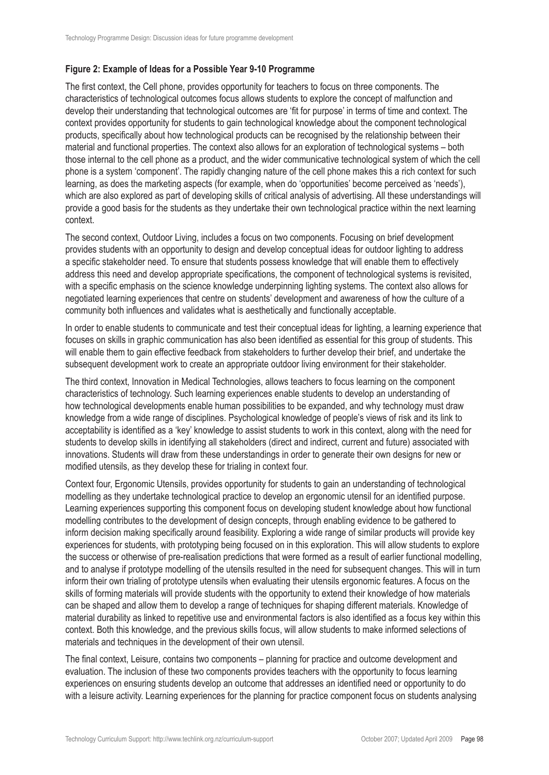#### **Figure 2: Example of Ideas for a Possible Year 9-10 Programme**

The first context, the Cell phone, provides opportunity for teachers to focus on three components. The characteristics of technological outcomes focus allows students to explore the concept of malfunction and develop their understanding that technological outcomes are 'fit for purpose' in terms of time and context. The context provides opportunity for students to gain technological knowledge about the component technological products, specifically about how technological products can be recognised by the relationship between their material and functional properties. The context also allows for an exploration of technological systems – both those internal to the cell phone as a product, and the wider communicative technological system of which the cell phone is a system 'component'. The rapidly changing nature of the cell phone makes this a rich context for such learning, as does the marketing aspects (for example, when do 'opportunities' become perceived as 'needs'), which are also explored as part of developing skills of critical analysis of advertising. All these understandings will provide a good basis for the students as they undertake their own technological practice within the next learning context.

The second context, Outdoor Living, includes a focus on two components. Focusing on brief development provides students with an opportunity to design and develop conceptual ideas for outdoor lighting to address a specific stakeholder need. To ensure that students possess knowledge that will enable them to effectively address this need and develop appropriate specifications, the component of technological systems is revisited, with a specific emphasis on the science knowledge underpinning lighting systems. The context also allows for negotiated learning experiences that centre on students' development and awareness of how the culture of a community both influences and validates what is aesthetically and functionally acceptable.

In order to enable students to communicate and test their conceptual ideas for lighting, a learning experience that focuses on skills in graphic communication has also been identified as essential for this group of students. This will enable them to gain effective feedback from stakeholders to further develop their brief, and undertake the subsequent development work to create an appropriate outdoor living environment for their stakeholder.

The third context, Innovation in Medical Technologies, allows teachers to focus learning on the component characteristics of technology. Such learning experiences enable students to develop an understanding of how technological developments enable human possibilities to be expanded, and why technology must draw knowledge from a wide range of disciplines. Psychological knowledge of people's views of risk and its link to acceptability is identified as a 'key' knowledge to assist students to work in this context, along with the need for students to develop skills in identifying all stakeholders (direct and indirect, current and future) associated with innovations. Students will draw from these understandings in order to generate their own designs for new or modified utensils, as they develop these for trialing in context four.

Context four, Ergonomic Utensils, provides opportunity for students to gain an understanding of technological modelling as they undertake technological practice to develop an ergonomic utensil for an identified purpose. Learning experiences supporting this component focus on developing student knowledge about how functional modelling contributes to the development of design concepts, through enabling evidence to be gathered to inform decision making specifically around feasibility. Exploring a wide range of similar products will provide key experiences for students, with prototyping being focused on in this exploration. This will allow students to explore the success or otherwise of pre-realisation predictions that were formed as a result of earlier functional modelling, and to analyse if prototype modelling of the utensils resulted in the need for subsequent changes. This will in turn inform their own trialing of prototype utensils when evaluating their utensils ergonomic features. A focus on the skills of forming materials will provide students with the opportunity to extend their knowledge of how materials can be shaped and allow them to develop a range of techniques for shaping different materials. Knowledge of material durability as linked to repetitive use and environmental factors is also identified as a focus key within this context. Both this knowledge, and the previous skills focus, will allow students to make informed selections of materials and techniques in the development of their own utensil.

The final context, Leisure, contains two components – planning for practice and outcome development and evaluation. The inclusion of these two components provides teachers with the opportunity to focus learning experiences on ensuring students develop an outcome that addresses an identified need or opportunity to do with a leisure activity. Learning experiences for the planning for practice component focus on students analysing